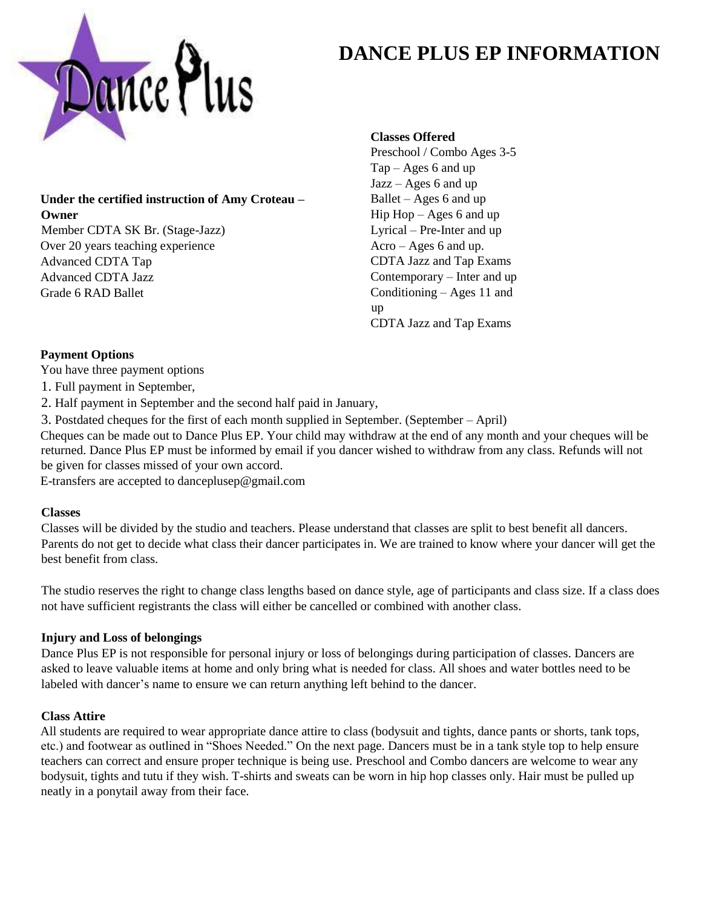

# **DANCE PLUS EP INFORMATION**

## **Under the certified instruction of Amy Croteau – Owner**

Member CDTA SK Br. (Stage-Jazz) Over 20 years teaching experience Advanced CDTA Tap Advanced CDTA Jazz Grade 6 RAD Ballet

## **Classes Offered**

Preschool / Combo Ages 3-5 Tap – Ages 6 and up Jazz – Ages 6 and up Ballet – Ages 6 and up Hip  $Hop - Ages 6$  and up Lyrical – Pre-Inter and up Acro – Ages 6 and up. CDTA Jazz and Tap Exams Contemporary – Inter and up Conditioning – Ages 11 and up CDTA Jazz and Tap Exams

## **Payment Options**

You have three payment options

- 1. Full payment in September,
- 2. Half payment in September and the second half paid in January,
- 3. Postdated cheques for the first of each month supplied in September. (September April)

Cheques can be made out to Dance Plus EP. Your child may withdraw at the end of any month and your cheques will be returned. Dance Plus EP must be informed by email if you dancer wished to withdraw from any class. Refunds will not be given for classes missed of your own accord.

E-transfers are accepted to danceplusep@gmail.com

## **Classes**

Classes will be divided by the studio and teachers. Please understand that classes are split to best benefit all dancers. Parents do not get to decide what class their dancer participates in. We are trained to know where your dancer will get the best benefit from class.

The studio reserves the right to change class lengths based on dance style, age of participants and class size. If a class does not have sufficient registrants the class will either be cancelled or combined with another class.

## **Injury and Loss of belongings**

Dance Plus EP is not responsible for personal injury or loss of belongings during participation of classes. Dancers are asked to leave valuable items at home and only bring what is needed for class. All shoes and water bottles need to be labeled with dancer's name to ensure we can return anything left behind to the dancer.

## **Class Attire**

All students are required to wear appropriate dance attire to class (bodysuit and tights, dance pants or shorts, tank tops, etc.) and footwear as outlined in "Shoes Needed." On the next page. Dancers must be in a tank style top to help ensure teachers can correct and ensure proper technique is being use. Preschool and Combo dancers are welcome to wear any bodysuit, tights and tutu if they wish. T-shirts and sweats can be worn in hip hop classes only. Hair must be pulled up neatly in a ponytail away from their face.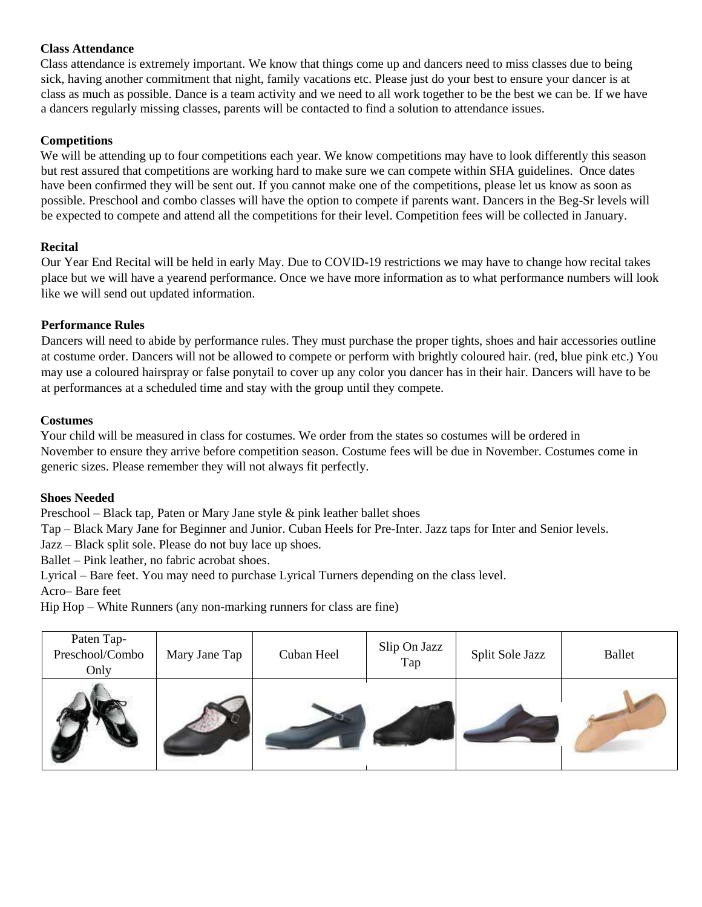## **Class Attendance**

Class attendance is extremely important. We know that things come up and dancers need to miss classes due to being sick, having another commitment that night, family vacations etc. Please just do your best to ensure your dancer is at class as much as possible. Dance is a team activity and we need to all work together to be the best we can be. If we have a dancers regularly missing classes, parents will be contacted to find a solution to attendance issues.

## **Competitions**

We will be attending up to four competitions each year. We know competitions may have to look differently this season but rest assured that competitions are working hard to make sure we can compete within SHA guidelines. Once dates have been confirmed they will be sent out. If you cannot make one of the competitions, please let us know as soon as possible. Preschool and combo classes will have the option to compete if parents want. Dancers in the Beg-Sr levels will be expected to compete and attend all the competitions for their level. Competition fees will be collected in January.

## **Recital**

Our Year End Recital will be held in early May. Due to COVID-19 restrictions we may have to change how recital takes place but we will have a yearend performance. Once we have more information as to what performance numbers will look like we will send out updated information.

## **Performance Rules**

Dancers will need to abide by performance rules. They must purchase the proper tights, shoes and hair accessories outline at costume order. Dancers will not be allowed to compete or perform with brightly coloured hair. (red, blue pink etc.) You may use a coloured hairspray or false ponytail to cover up any color you dancer has in their hair. Dancers will have to be at performances at a scheduled time and stay with the group until they compete.

## **Costumes**

Your child will be measured in class for costumes. We order from the states so costumes will be ordered in November to ensure they arrive before competition season. Costume fees will be due in November. Costumes come in generic sizes. Please remember they will not always fit perfectly.

## **Shoes Needed**

Preschool – Black tap, Paten or Mary Jane style & pink leather ballet shoes

Tap – Black Mary Jane for Beginner and Junior. Cuban Heels for Pre-Inter. Jazz taps for Inter and Senior levels.

Jazz – Black split sole. Please do not buy lace up shoes.

Ballet – Pink leather, no fabric acrobat shoes.

Lyrical – Bare feet. You may need to purchase Lyrical Turners depending on the class level.

Acro– Bare feet

Hip Hop – White Runners (any non-marking runners for class are fine)

| Paten Tap-<br>Preschool/Combo<br>Only | Mary Jane Tap | Cuban Heel | Slip On Jazz<br>Tap | Split Sole Jazz | Ballet |
|---------------------------------------|---------------|------------|---------------------|-----------------|--------|
|                                       |               |            |                     |                 |        |